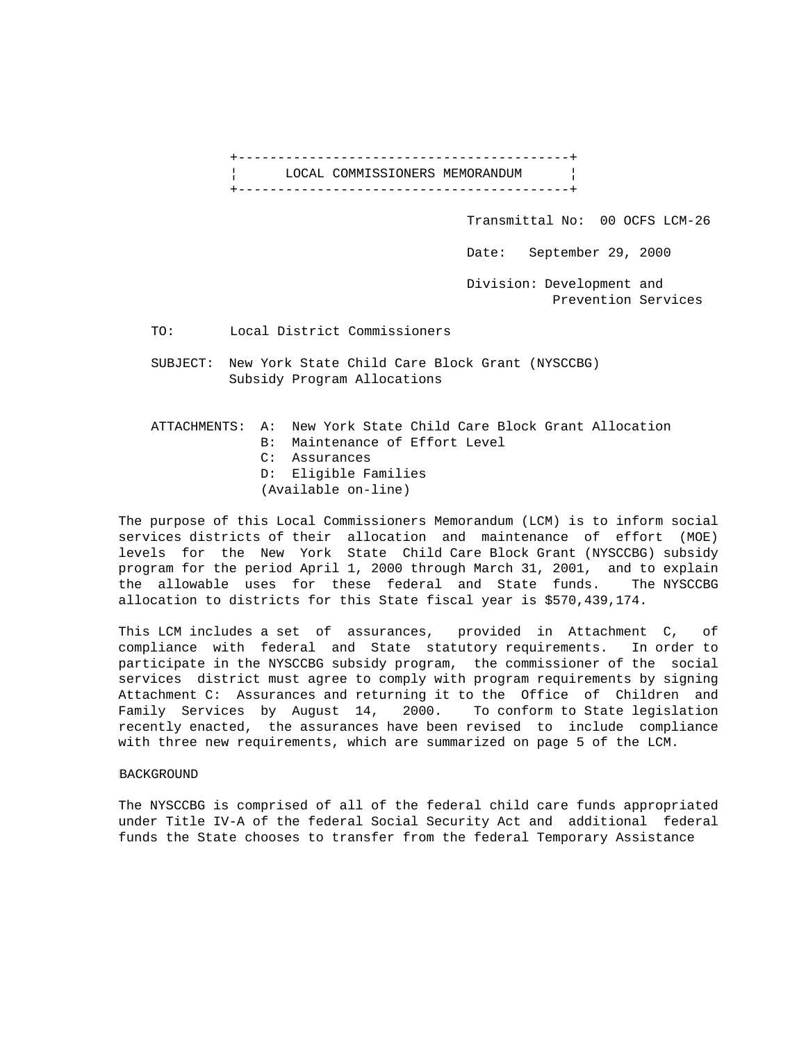

Transmittal No: 00 OCFS LCM-26

Date: September 29, 2000

 Division: Development and Prevention Services

TO: Local District Commissioners

 SUBJECT: New York State Child Care Block Grant (NYSCCBG) Subsidy Program Allocations

 ATTACHMENTS: A: New York State Child Care Block Grant Allocation B: Maintenance of Effort Level C: Assurances D: Eligible Families (Available on-line)

The purpose of this Local Commissioners Memorandum (LCM) is to inform social services districts of their allocation and maintenance of effort (MOE) levels for the New York State Child Care Block Grant (NYSCCBG) subsidy program for the period April 1, 2000 through March 31, 2001, and to explain the allowable uses for these federal and State funds. The NYSCCBG allocation to districts for this State fiscal year is \$570,439,174.

This LCM includes a set of assurances, provided in Attachment C, of compliance with federal and State statutory requirements. In order to participate in the NYSCCBG subsidy program, the commissioner of the social services district must agree to comply with program requirements by signing Attachment C: Assurances and returning it to the Office of Children and Family Services by August 14, 2000. To conform to State legislation recently enacted, the assurances have been revised to include compliance with three new requirements, which are summarized on page 5 of the LCM.

## BACKGROUND

The NYSCCBG is comprised of all of the federal child care funds appropriated under Title IV-A of the federal Social Security Act and additional federal funds the State chooses to transfer from the federal Temporary Assistance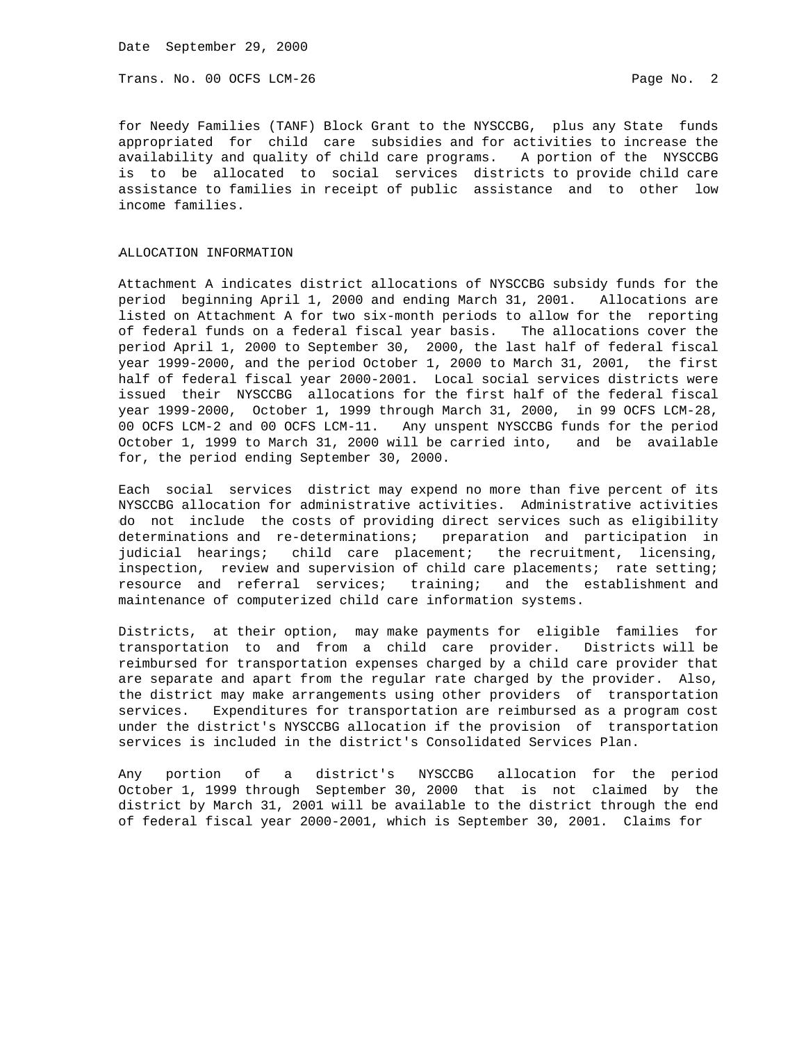Trans. No. 00 OCFS LCM-26 **Page No. 2** Page No. 2

for Needy Families (TANF) Block Grant to the NYSCCBG, plus any State funds appropriated for child care subsidies and for activities to increase the availability and quality of child care programs. A portion of the NYSCCBG is to be allocated to social services districts to provide child care assistance to families in receipt of public assistance and to other low income families.

#### ALLOCATION INFORMATION

Attachment A indicates district allocations of NYSCCBG subsidy funds for the period beginning April 1, 2000 and ending March 31, 2001. Allocations are listed on Attachment A for two six-month periods to allow for the reporting of federal funds on a federal fiscal year basis. The allocations cover the period April 1, 2000 to September 30, 2000, the last half of federal fiscal year 1999-2000, and the period October 1, 2000 to March 31, 2001, the first half of federal fiscal year 2000-2001. Local social services districts were issued their NYSCCBG allocations for the first half of the federal fiscal year 1999-2000, October 1, 1999 through March 31, 2000, in 99 OCFS LCM-28, 00 OCFS LCM-2 and 00 OCFS LCM-11. Any unspent NYSCCBG funds for the period October 1, 1999 to March 31, 2000 will be carried into, and be available for, the period ending September 30, 2000.

Each social services district may expend no more than five percent of its NYSCCBG allocation for administrative activities. Administrative activities do not include the costs of providing direct services such as eligibility determinations and re-determinations; preparation and participation in judicial hearings; child care placement; the recruitment, licensing, inspection, review and supervision of child care placements; rate setting; resource and referral services; training; and the establishment and maintenance of computerized child care information systems.

Districts, at their option, may make payments for eligible families for transportation to and from a child care provider. Districts will be reimbursed for transportation expenses charged by a child care provider that are separate and apart from the regular rate charged by the provider. Also, the district may make arrangements using other providers of transportation services. Expenditures for transportation are reimbursed as a program cost under the district's NYSCCBG allocation if the provision of transportation services is included in the district's Consolidated Services Plan.

Any portion of a district's NYSCCBG allocation for the period October 1, 1999 through September 30, 2000 that is not claimed by the district by March 31, 2001 will be available to the district through the end of federal fiscal year 2000-2001, which is September 30, 2001. Claims for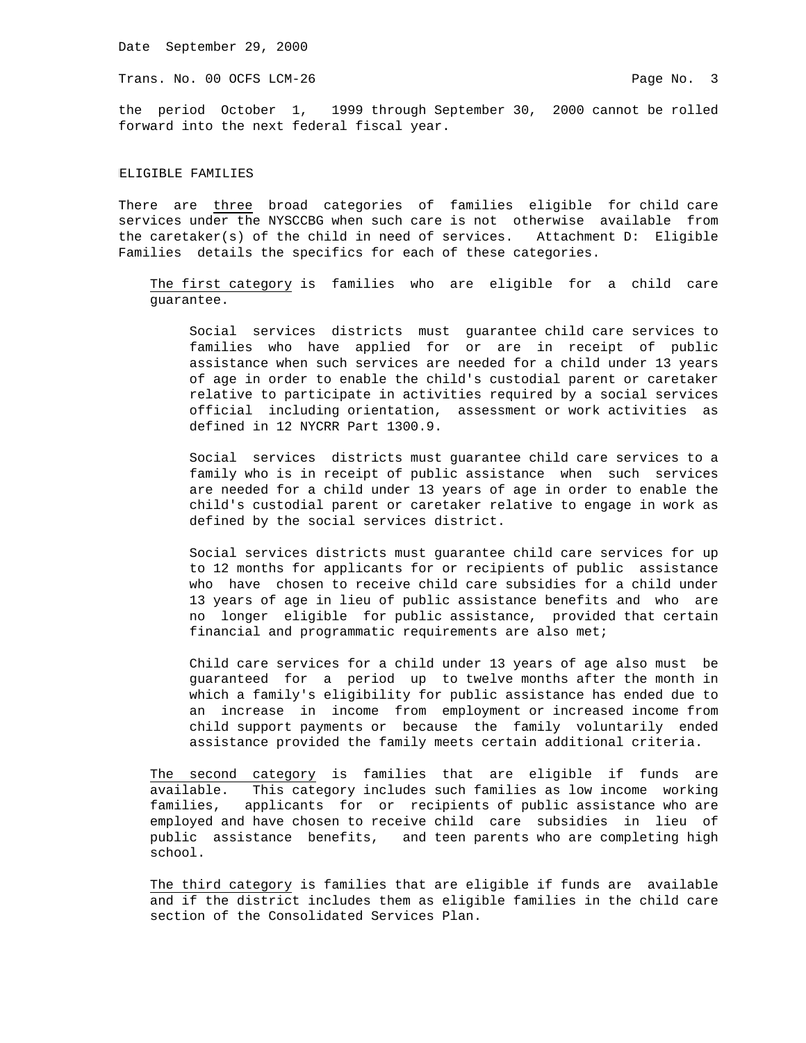Trans. No. 00 OCFS LCM-26 **Page No. 3** 

the period October 1, 1999 through September 30, 2000 cannot be rolled forward into the next federal fiscal year.

### ELIGIBLE FAMILIES

There are three broad categories of families eligible for child care services under the NYSCCBG when such care is not otherwise available from the caretaker(s) of the child in need of services. Attachment D: Eligible Families details the specifics for each of these categories.

 The first category is families who are eligible for a child care guarantee.

 Social services districts must guarantee child care services to families who have applied for or are in receipt of public assistance when such services are needed for a child under 13 years of age in order to enable the child's custodial parent or caretaker relative to participate in activities required by a social services official including orientation, assessment or work activities as defined in 12 NYCRR Part 1300.9.

 Social services districts must guarantee child care services to a family who is in receipt of public assistance when such services are needed for a child under 13 years of age in order to enable the child's custodial parent or caretaker relative to engage in work as defined by the social services district.

 Social services districts must guarantee child care services for up to 12 months for applicants for or recipients of public assistance who have chosen to receive child care subsidies for a child under 13 years of age in lieu of public assistance benefits and who are no longer eligible for public assistance, provided that certain financial and programmatic requirements are also met;

 Child care services for a child under 13 years of age also must be guaranteed for a period up to twelve months after the month in which a family's eligibility for public assistance has ended due to an increase in income from employment or increased income from child support payments or because the family voluntarily ended assistance provided the family meets certain additional criteria.

 The second category is families that are eligible if funds are available. This category includes such families as low income working families, applicants for or recipients of public assistance who are employed and have chosen to receive child care subsidies in lieu of public assistance benefits, and teen parents who are completing high school.

 The third category is families that are eligible if funds are available and if the district includes them as eligible families in the child care section of the Consolidated Services Plan.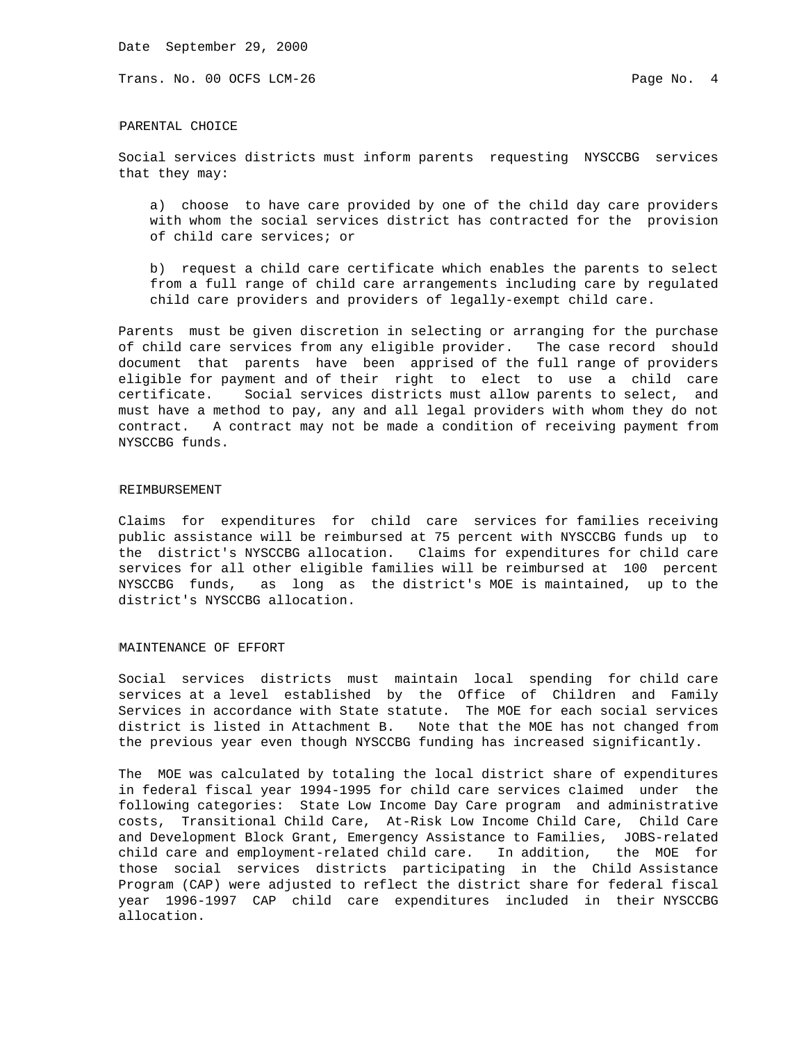Trans. No. 00 OCFS LCM-26 **Page No. 4** Page No. 4

### PARENTAL CHOICE

Social services districts must inform parents requesting NYSCCBG services that they may:

 a) choose to have care provided by one of the child day care providers with whom the social services district has contracted for the provision of child care services; or

 b) request a child care certificate which enables the parents to select from a full range of child care arrangements including care by regulated child care providers and providers of legally-exempt child care.

Parents must be given discretion in selecting or arranging for the purchase of child care services from any eligible provider. The case record should document that parents have been apprised of the full range of providers eligible for payment and of their right to elect to use a child care certificate. Social services districts must allow parents to select, and must have a method to pay, any and all legal providers with whom they do not contract. A contract may not be made a condition of receiving payment from NYSCCBG funds.

#### REIMBURSEMENT

Claims for expenditures for child care services for families receiving public assistance will be reimbursed at 75 percent with NYSCCBG funds up to the district's NYSCCBG allocation. Claims for expenditures for child care services for all other eligible families will be reimbursed at 100 percent NYSCCBG funds, as long as the district's MOE is maintained, up to the district's NYSCCBG allocation.

### MAINTENANCE OF EFFORT

Social services districts must maintain local spending for child care services at a level established by the Office of Children and Family Services in accordance with State statute. The MOE for each social services district is listed in Attachment B. Note that the MOE has not changed from the previous year even though NYSCCBG funding has increased significantly.

The MOE was calculated by totaling the local district share of expenditures in federal fiscal year 1994-1995 for child care services claimed under the following categories: State Low Income Day Care program and administrative costs, Transitional Child Care, At-Risk Low Income Child Care, Child Care and Development Block Grant, Emergency Assistance to Families, JOBS-related child care and employment-related child care. In addition, the MOE for those social services districts participating in the Child Assistance Program (CAP) were adjusted to reflect the district share for federal fiscal year 1996-1997 CAP child care expenditures included in their NYSCCBG allocation.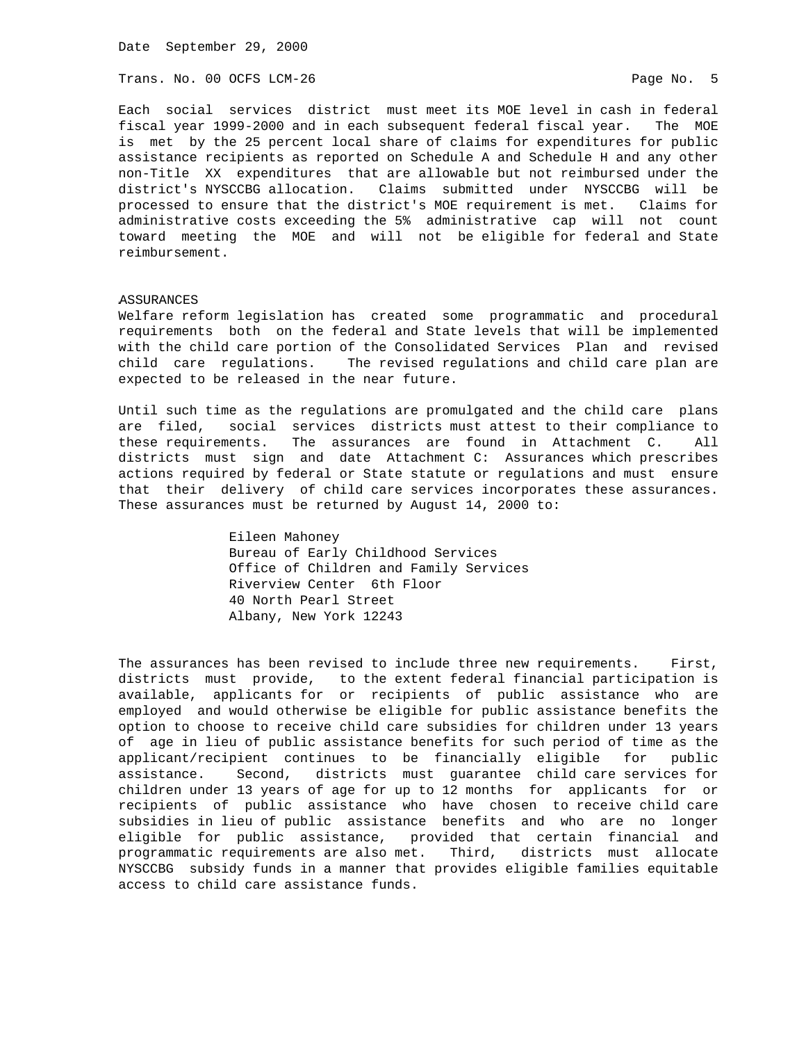Trans. No. 00 OCFS LCM-26 **Page No. 5** Page No. 5

Each social services district must meet its MOE level in cash in federal fiscal year 1999-2000 and in each subsequent federal fiscal year. The MOE is met by the 25 percent local share of claims for expenditures for public assistance recipients as reported on Schedule A and Schedule H and any other non-Title XX expenditures that are allowable but not reimbursed under the district's NYSCCBG allocation. Claims submitted under NYSCCBG will be processed to ensure that the district's MOE requirement is met. Claims for administrative costs exceeding the 5% administrative cap will not count toward meeting the MOE and will not be eligible for federal and State reimbursement.

## ASSURANCES

Welfare reform legislation has created some programmatic and procedural requirements both on the federal and State levels that will be implemented with the child care portion of the Consolidated Services Plan and revised child care regulations. The revised regulations and child care plan are expected to be released in the near future.

Until such time as the regulations are promulgated and the child care plans are filed, social services districts must attest to their compliance to these requirements. The assurances are found in Attachment C. All districts must sign and date Attachment C: Assurances which prescribes actions required by federal or State statute or regulations and must ensure that their delivery of child care services incorporates these assurances. These assurances must be returned by August 14, 2000 to:

> Eileen Mahoney Bureau of Early Childhood Services Office of Children and Family Services Riverview Center 6th Floor 40 North Pearl Street Albany, New York 12243

The assurances has been revised to include three new requirements. First, districts must provide, to the extent federal financial participation is available, applicants for or recipients of public assistance who are employed and would otherwise be eligible for public assistance benefits the option to choose to receive child care subsidies for children under 13 years of age in lieu of public assistance benefits for such period of time as the applicant/recipient continues to be financially eligible for public assistance. Second, districts must guarantee child care services for children under 13 years of age for up to 12 months for applicants for or recipients of public assistance who have chosen to receive child care subsidies in lieu of public assistance benefits and who are no longer eligible for public assistance, provided that certain financial and programmatic requirements are also met. Third, districts must allocate NYSCCBG subsidy funds in a manner that provides eligible families equitable access to child care assistance funds.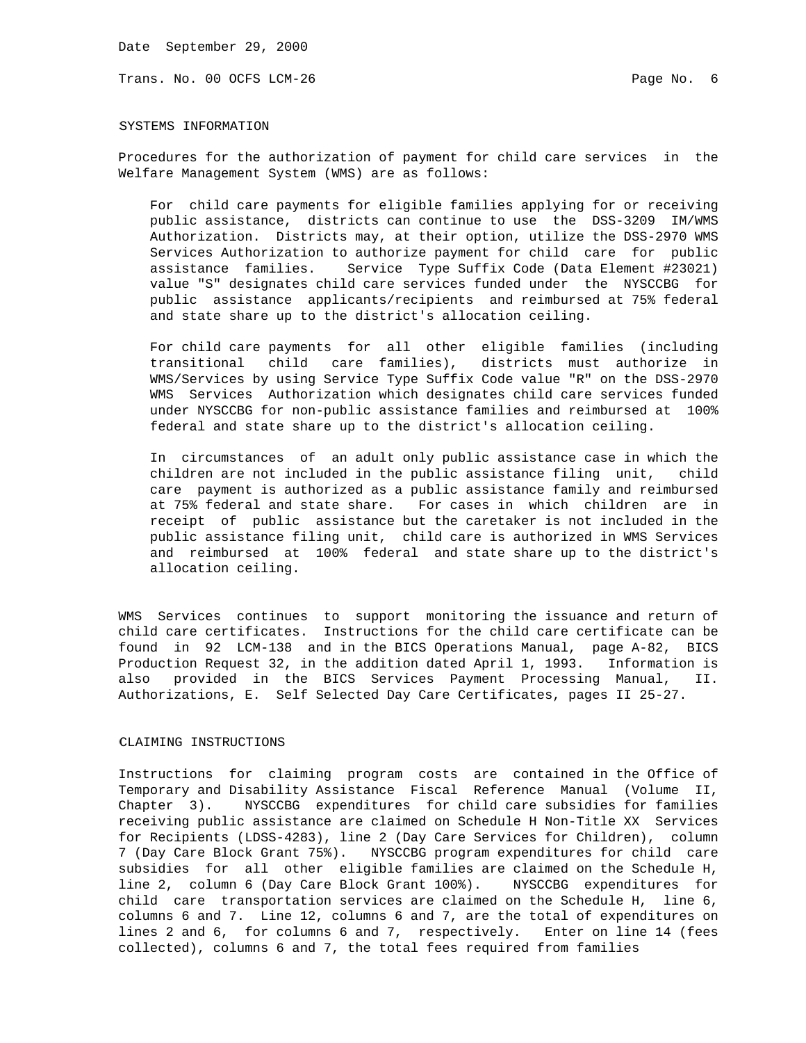Trans. No. 00 OCFS LCM-26 **Page No. 6** Page No. 6

SYSTEMS INFORMATION

Procedures for the authorization of payment for child care services in the Welfare Management System (WMS) are as follows:

 For child care payments for eligible families applying for or receiving public assistance, districts can continue to use the DSS-3209 IM/WMS Authorization. Districts may, at their option, utilize the DSS-2970 WMS Services Authorization to authorize payment for child care for public assistance families. Service Type Suffix Code (Data Element #23021) value "S" designates child care services funded under the NYSCCBG for public assistance applicants/recipients and reimbursed at 75% federal and state share up to the district's allocation ceiling.

 For child care payments for all other eligible families (including transitional child care families), districts must authorize in WMS/Services by using Service Type Suffix Code value "R" on the DSS-2970 WMS Services Authorization which designates child care services funded under NYSCCBG for non-public assistance families and reimbursed at 100% federal and state share up to the district's allocation ceiling.

 In circumstances of an adult only public assistance case in which the children are not included in the public assistance filing unit, child care payment is authorized as a public assistance family and reimbursed at 75% federal and state share. For cases in which children are in receipt of public assistance but the caretaker is not included in the public assistance filing unit, child care is authorized in WMS Services and reimbursed at 100% federal and state share up to the district's allocation ceiling.

WMS Services continues to support monitoring the issuance and return of child care certificates. Instructions for the child care certificate can be found in 92 LCM-138 and in the BICS Operations Manual, page A-82, BICS Production Request 32, in the addition dated April 1, 1993. Information is also provided in the BICS Services Payment Processing Manual, II. Authorizations, E. Self Selected Day Care Certificates, pages II 25-27.

### CLAIMING INSTRUCTIONS

Instructions for claiming program costs are contained in the Office of Temporary and Disability Assistance Fiscal Reference Manual (Volume II, Chapter 3). NYSCCBG expenditures for child care subsidies for families receiving public assistance are claimed on Schedule H Non-Title XX Services for Recipients (LDSS-4283), line 2 (Day Care Services for Children), column 7 (Day Care Block Grant 75%). NYSCCBG program expenditures for child care subsidies for all other eligible families are claimed on the Schedule H, line 2, column 6 (Day Care Block Grant 100%). NYSCCBG expenditures for child care transportation services are claimed on the Schedule H, line 6, columns 6 and 7. Line 12, columns 6 and 7, are the total of expenditures on lines 2 and 6, for columns 6 and 7, respectively. Enter on line 14 (fees collected), columns 6 and 7, the total fees required from families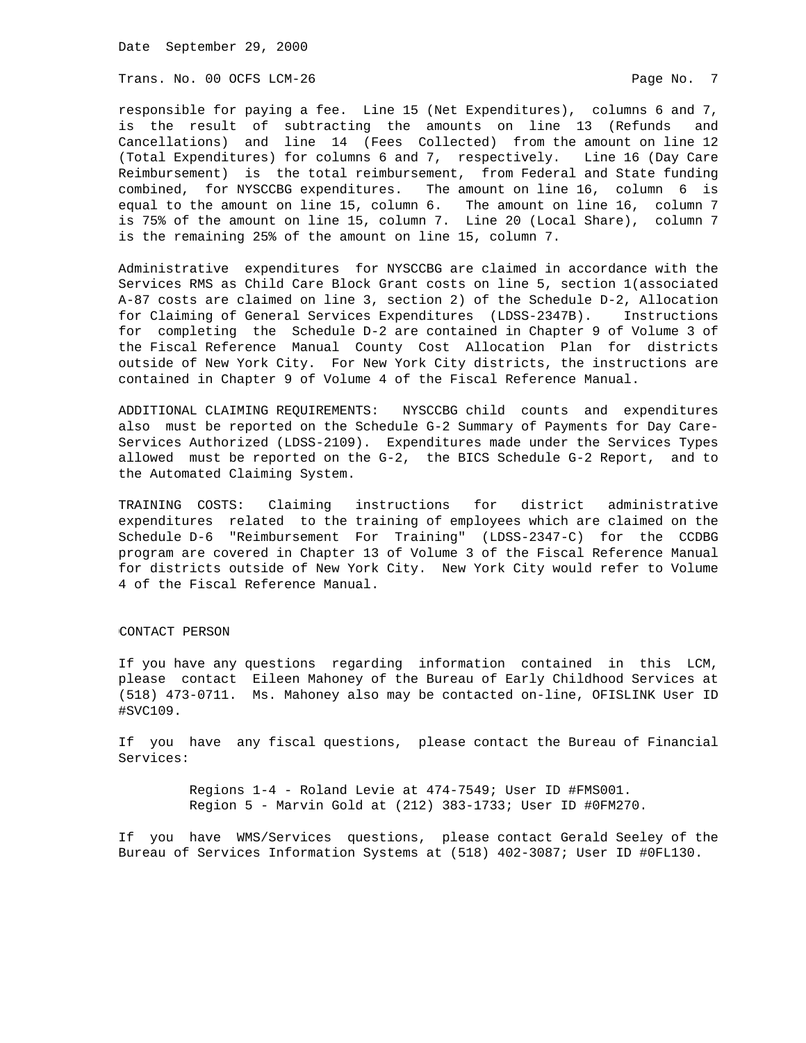Trans. No. 00 OCFS LCM-26 **Page No. 7** Page No. 7

responsible for paying a fee. Line 15 (Net Expenditures), columns 6 and 7, is the result of subtracting the amounts on line 13 (Refunds and Cancellations) and line 14 (Fees Collected) from the amount on line 12 (Total Expenditures) for columns 6 and 7, respectively. Line 16 (Day Care Reimbursement) is the total reimbursement, from Federal and State funding combined, for NYSCCBG expenditures. The amount on line 16, column 6 is equal to the amount on line 15, column 6. The amount on line 16, column 7 is 75% of the amount on line 15, column 7. Line 20 (Local Share), column 7 is the remaining 25% of the amount on line 15, column 7.

Administrative expenditures for NYSCCBG are claimed in accordance with the Services RMS as Child Care Block Grant costs on line 5, section 1(associated A-87 costs are claimed on line 3, section 2) of the Schedule D-2, Allocation for Claiming of General Services Expenditures (LDSS-2347B). Instructions for completing the Schedule D-2 are contained in Chapter 9 of Volume 3 of the Fiscal Reference Manual County Cost Allocation Plan for districts outside of New York City. For New York City districts, the instructions are contained in Chapter 9 of Volume 4 of the Fiscal Reference Manual.

ADDITIONAL CLAIMING REQUIREMENTS: NYSCCBG child counts and expenditures also must be reported on the Schedule G-2 Summary of Payments for Day Care-Services Authorized (LDSS-2109). Expenditures made under the Services Types allowed must be reported on the G-2, the BICS Schedule G-2 Report, and to the Automated Claiming System.

TRAINING COSTS: Claiming instructions for district administrative expenditures related to the training of employees which are claimed on the Schedule D-6 "Reimbursement For Training" (LDSS-2347-C) for the CCDBG program are covered in Chapter 13 of Volume 3 of the Fiscal Reference Manual for districts outside of New York City. New York City would refer to Volume 4 of the Fiscal Reference Manual.

### CONTACT PERSON

If you have any questions regarding information contained in this LCM, please contact Eileen Mahoney of the Bureau of Early Childhood Services at (518) 473-0711. Ms. Mahoney also may be contacted on-line, OFISLINK User ID #SVC109.

If you have any fiscal questions, please contact the Bureau of Financial Services:

> Regions 1-4 - Roland Levie at 474-7549; User ID #FMS001. Region 5 - Marvin Gold at (212) 383-1733; User ID #0FM270.

If you have WMS/Services questions, please contact Gerald Seeley of the Bureau of Services Information Systems at (518) 402-3087; User ID #0FL130.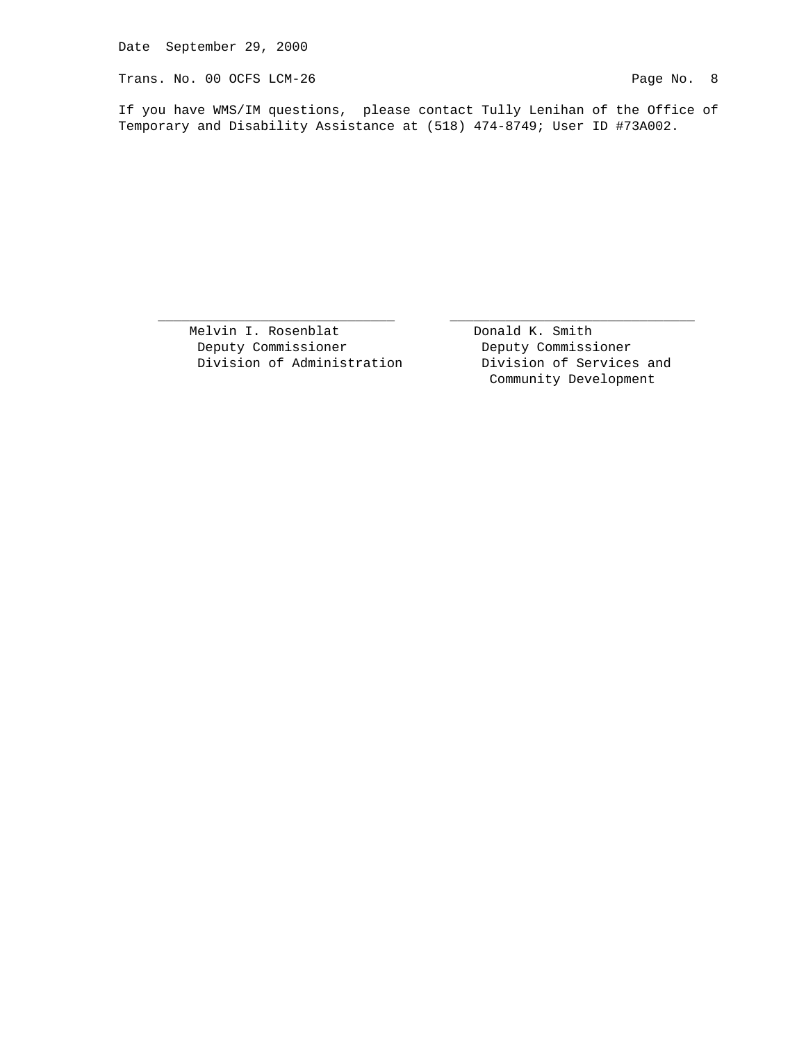Trans. No. 00 OCFS LCM-26 Page No. 8

If you have WMS/IM questions, please contact Tully Lenihan of the Office of Temporary and Disability Assistance at (518) 474-8749; User ID #73A002.

 $\overline{\phantom{a}}$  , and the contribution of the contribution of  $\overline{\phantom{a}}$  , and  $\overline{\phantom{a}}$  , and  $\overline{\phantom{a}}$  , and  $\overline{\phantom{a}}$  , and  $\overline{\phantom{a}}$  , and  $\overline{\phantom{a}}$  , and  $\overline{\phantom{a}}$  , and  $\overline{\phantom{a}}$  , and  $\overline{\phantom{a}}$  , and

Melvin I. Rosenblat **Donald K. Smith**  Deputy Commissioner Deputy Commissioner Division of Administration **Division** of Services and

Community Development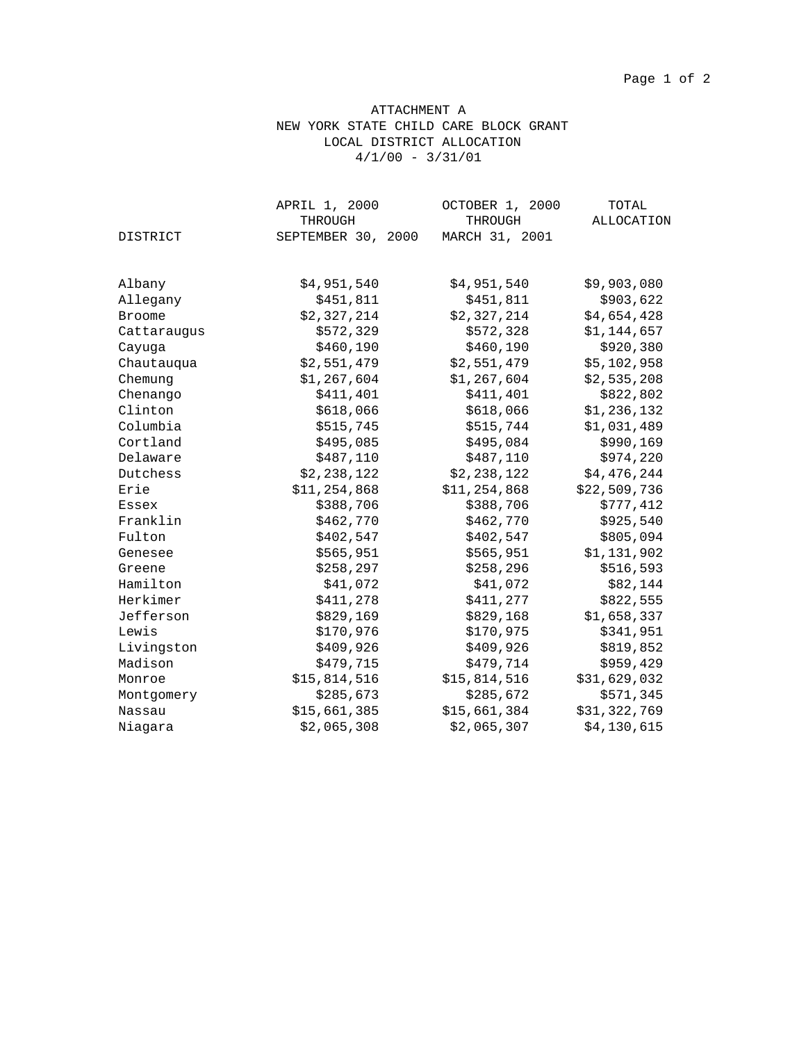# ATTACHMENT A NEW YORK STATE CHILD CARE BLOCK GRANT LOCAL DISTRICT ALLOCATION  $4/1/00 - 3/31/01$

|               | APRIL 1, 2000      | OCTOBER 1, 2000<br>THROUGH | TOTAL<br>ALLOCATION |
|---------------|--------------------|----------------------------|---------------------|
|               | THROUGH            |                            |                     |
| DISTRICT      | SEPTEMBER 30, 2000 | MARCH 31, 2001             |                     |
| Albany        | \$4,951,540        | \$4,951,540                | \$9,903,080         |
| Allegany      | \$451,811          | \$451,811                  | \$903,622           |
| <b>Broome</b> | \$2,327,214        | \$2,327,214                | \$4,654,428         |
| Cattaraugus   | \$572,329          | \$572,328                  | \$1,144,657         |
| Cayuga        | \$460,190          | \$460,190                  | \$920,380           |
| Chautauqua    | \$2,551,479        | \$2,551,479                | \$5,102,958         |
| Chemung       | \$1,267,604        | \$1,267,604                | \$2,535,208         |
| Chenango      | \$411,401          | \$411,401                  | \$822,802           |
| Clinton       | \$618,066          | \$618,066                  | \$1,236,132         |
| Columbia      | \$515,745          | \$515,744                  | \$1,031,489         |
| Cortland      | \$495,085          | \$495,084                  | \$990,169           |
| Delaware      | \$487,110          | \$487,110                  | \$974,220           |
| Dutchess      | \$2,238,122        | \$2,238,122                | \$4,476,244         |
| Erie          | \$11,254,868       | \$11,254,868               | \$22,509,736        |
| Essex         | \$388,706          | \$388,706                  | \$777,412           |
| Franklin      | \$462,770          | \$462,770                  | \$925,540           |
| Fulton        | \$402,547          | \$402,547                  | \$805,094           |
| Genesee       | \$565,951          | \$565,951                  | \$1,131,902         |
| Greene        | \$258,297          | \$258, 296                 | \$516,593           |
| Hamilton      | \$41,072           | \$41,072                   | \$82,144            |
| Herkimer      | \$411,278          | \$411,277                  | \$822,555           |
| Jefferson     | \$829,169          | \$829,168                  | \$1,658,337         |
| Lewis         | \$170,976          | \$170,975                  | \$341,951           |
| Livingston    | \$409,926          | \$409,926                  | \$819,852           |
| Madison       | \$479,715          | \$479,714                  | \$959,429           |
| Monroe        | \$15,814,516       | \$15,814,516               | \$31,629,032        |
| Montgomery    | \$285,673          | \$285,672                  | \$571,345           |
| Nassau        | \$15,661,385       | \$15,661,384               | \$31,322,769        |
| Niagara       | \$2,065,308        | \$2,065,307                | \$4,130,615         |
|               |                    |                            |                     |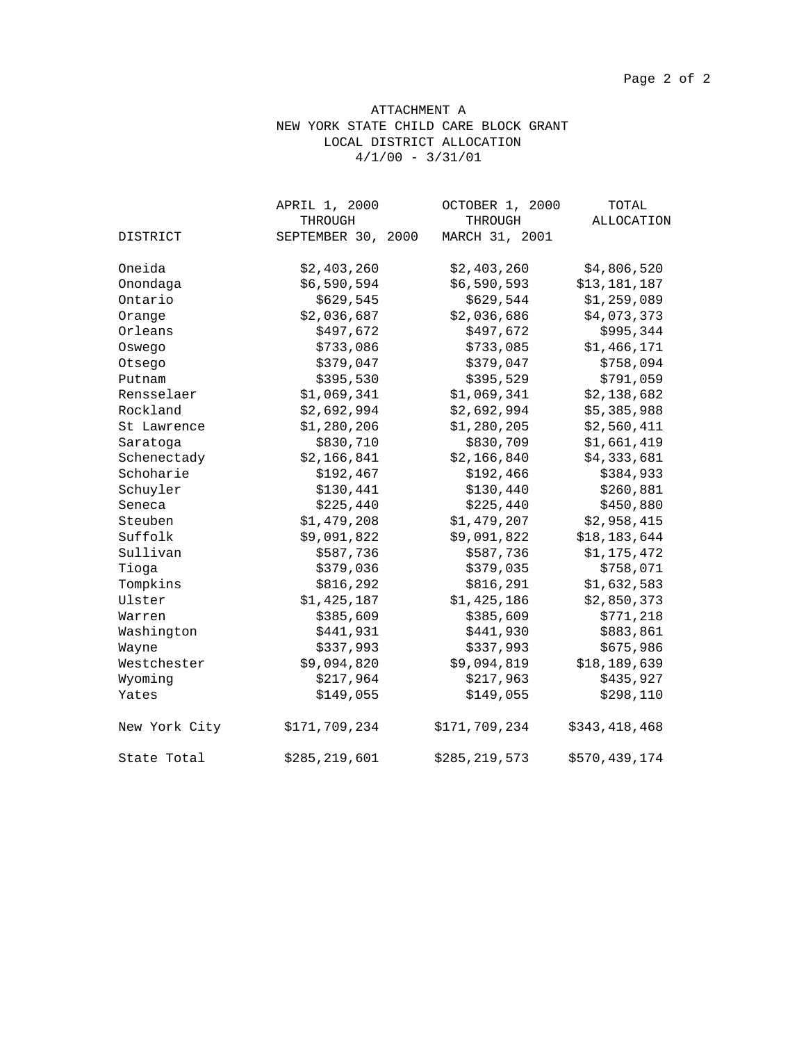# ATTACHMENT A NEW YORK STATE CHILD CARE BLOCK GRANT LOCAL DISTRICT ALLOCATION  $4/1/00 - 3/31/01$

|               | APRIL 1, 2000      | OCTOBER 1, 2000 | TOTAL         |
|---------------|--------------------|-----------------|---------------|
|               | THROUGH            | THROUGH         | ALLOCATION    |
| DISTRICT      | SEPTEMBER 30, 2000 | MARCH 31, 2001  |               |
| Oneida        | \$2,403,260        | \$2,403,260     | \$4,806,520   |
| Onondaga      | \$6,590,594        | \$6,590,593     | \$13,181,187  |
| Ontario       | \$629,545          | \$629,544       | \$1,259,089   |
| Orange        | \$2,036,687        | \$2,036,686     | \$4,073,373   |
| Orleans       | \$497,672          | \$497,672       | \$995,344     |
| Oswego        | \$733,086          | \$733,085       | \$1,466,171   |
| Otsego        | \$379,047          | \$379,047       | \$758,094     |
| Putnam        | \$395,530          | \$395,529       | \$791,059     |
| Rensselaer    | \$1,069,341        | \$1,069,341     | \$2,138,682   |
| Rockland      | \$2,692,994        | \$2,692,994     | \$5,385,988   |
| St Lawrence   | \$1,280,206        | \$1,280,205     | \$2,560,411   |
| Saratoga      | \$830,710          | \$830,709       | \$1,661,419   |
| Schenectady   | \$2,166,841        | \$2,166,840     | \$4,333,681   |
| Schoharie     | \$192,467          | \$192,466       | \$384,933     |
| Schuyler      | \$130,441          | \$130,440       | \$260,881     |
| Seneca        | \$225,440          | \$225,440       | \$450,880     |
| Steuben       | \$1,479,208        | \$1,479,207     | \$2,958,415   |
| Suffolk       | \$9,091,822        | \$9,091,822     | \$18,183,644  |
| Sullivan      | \$587,736          | \$587,736       | \$1,175,472   |
| Tioga         | \$379,036          | \$379,035       | \$758,071     |
| Tompkins      | \$816,292          | \$816,291       | \$1,632,583   |
| Ulster        | \$1,425,187        | \$1,425,186     | \$2,850,373   |
| Warren        | \$385,609          | \$385,609       | \$771,218     |
| Washington    | \$441,931          | \$441,930       | \$883,861     |
| Wayne         | \$337,993          | \$337,993       | \$675,986     |
| Westchester   | \$9,094,820        | \$9,094,819     | \$18,189,639  |
| Wyoming       | \$217,964          | \$217,963       | \$435,927     |
| Yates         | \$149,055          | \$149,055       | \$298,110     |
| New York City | \$171,709,234      | \$171,709,234   | \$343,418,468 |
| State Total   | \$285,219,601      | \$285,219,573   | \$570,439,174 |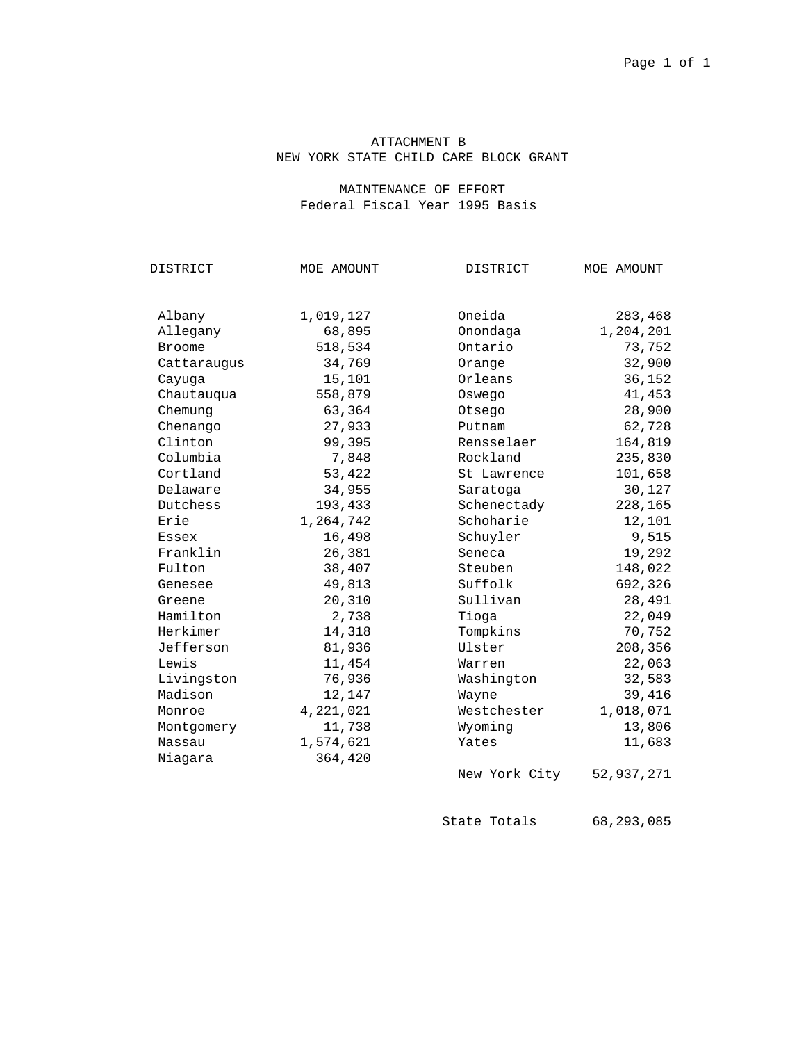# ATTACHMENT B NEW YORK STATE CHILD CARE BLOCK GRANT

# MAINTENANCE OF EFFORT Federal Fiscal Year 1995 Basis

| DISTRICT      | MOE AMOUNT | DISTRICT      | MOE AMOUNT |
|---------------|------------|---------------|------------|
|               |            |               |            |
| Albany        | 1,019,127  | Oneida        | 283,468    |
| Allegany      | 68,895     | Onondaga      | 1,204,201  |
| <b>Broome</b> | 518,534    | Ontario       | 73,752     |
| Cattaraugus   | 34,769     | Orange        | 32,900     |
| Cayuqa        | 15,101     | Orleans       | 36,152     |
| Chautauqua    | 558,879    | Oswego        | 41,453     |
| Chemung       | 63,364     | Otsego        | 28,900     |
| Chenango      | 27,933     | Putnam        | 62,728     |
| Clinton       | 99,395     | Rensselaer    | 164,819    |
| Columbia      | 7,848      | Rockland      | 235,830    |
| Cortland      | 53,422     | St Lawrence   | 101,658    |
| Delaware      | 34,955     | Saratoga      | 30,127     |
| Dutchess      | 193,433    | Schenectady   | 228,165    |
| Erie          | 1,264,742  | Schoharie     | 12,101     |
| Essex         | 16,498     | Schuyler      | 9,515      |
| Franklin      | 26,381     | Seneca        | 19,292     |
| Fulton        | 38,407     | Steuben       | 148,022    |
| Genesee       | 49,813     | Suffolk       | 692,326    |
| Greene        | 20,310     | Sullivan      | 28,491     |
| Hamilton      | 2,738      | Tioga         | 22,049     |
| Herkimer      | 14,318     | Tompkins      | 70,752     |
| Jefferson     | 81,936     | Ulster        | 208,356    |
| Lewis         | 11,454     | Warren        | 22,063     |
| Livingston    | 76,936     | Washington    | 32,583     |
| Madison       | 12,147     | Wayne         | 39,416     |
| Monroe        | 4,221,021  | Westchester   | 1,018,071  |
| Montgomery    | 11,738     | Wyoming       | 13,806     |
| Nassau        | 1,574,621  | Yates         | 11,683     |
| Niagara       | 364,420    |               |            |
|               |            | New York City | 52,937,271 |

State Totals 68,293,085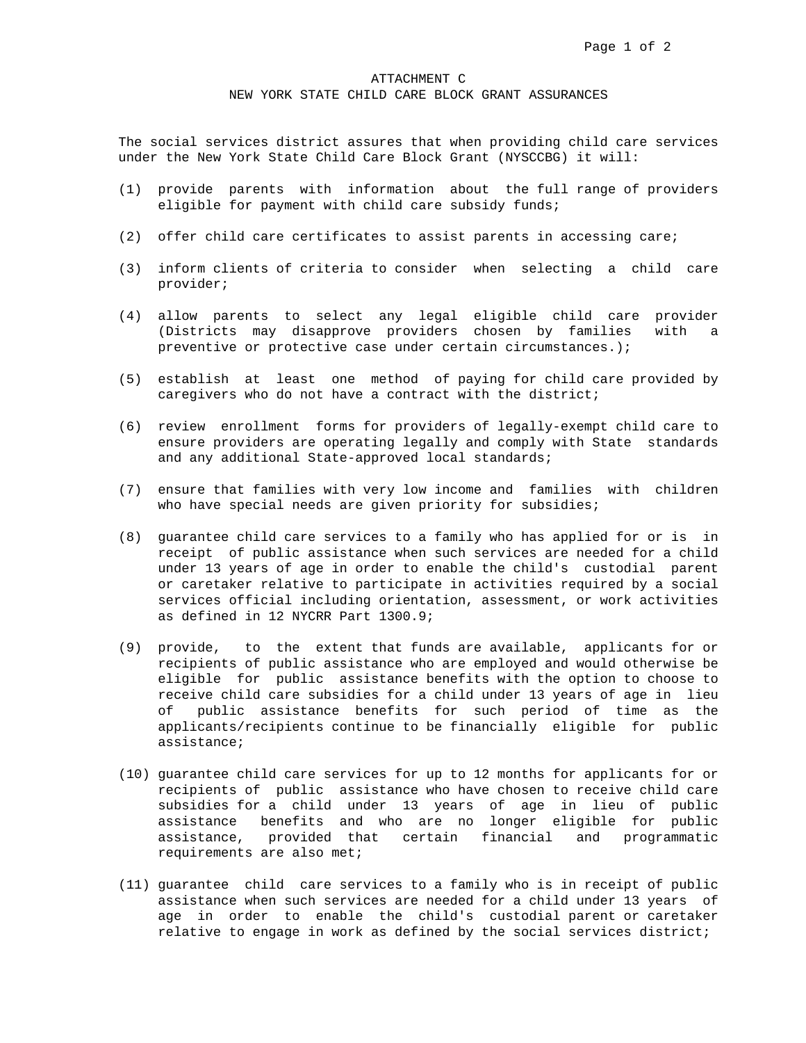#### ATTACHMENT C

NEW YORK STATE CHILD CARE BLOCK GRANT ASSURANCES

The social services district assures that when providing child care services under the New York State Child Care Block Grant (NYSCCBG) it will:

- (1) provide parents with information about the full range of providers eligible for payment with child care subsidy funds;
- (2) offer child care certificates to assist parents in accessing care;
- (3) inform clients of criteria to consider when selecting a child care provider;
- (4) allow parents to select any legal eligible child care provider (Districts may disapprove providers chosen by families with a preventive or protective case under certain circumstances.);
- (5) establish at least one method of paying for child care provided by caregivers who do not have a contract with the district;
- (6) review enrollment forms for providers of legally-exempt child care to ensure providers are operating legally and comply with State standards and any additional State-approved local standards;
- (7) ensure that families with very low income and families with children who have special needs are given priority for subsidies;
- (8) guarantee child care services to a family who has applied for or is in receipt of public assistance when such services are needed for a child under 13 years of age in order to enable the child's custodial parent or caretaker relative to participate in activities required by a social services official including orientation, assessment, or work activities as defined in 12 NYCRR Part 1300.9;
- (9) provide, to the extent that funds are available, applicants for or recipients of public assistance who are employed and would otherwise be eligible for public assistance benefits with the option to choose to receive child care subsidies for a child under 13 years of age in lieu of public assistance benefits for such period of time as the applicants/recipients continue to be financially eligible for public assistance;
- (10) guarantee child care services for up to 12 months for applicants for or recipients of public assistance who have chosen to receive child care subsidies for a child under 13 years of age in lieu of public assistance benefits and who are no longer eligible for public assistance, provided that certain financial and programmatic requirements are also met;
- (11) guarantee child care services to a family who is in receipt of public assistance when such services are needed for a child under 13 years of age in order to enable the child's custodial parent or caretaker relative to engage in work as defined by the social services district;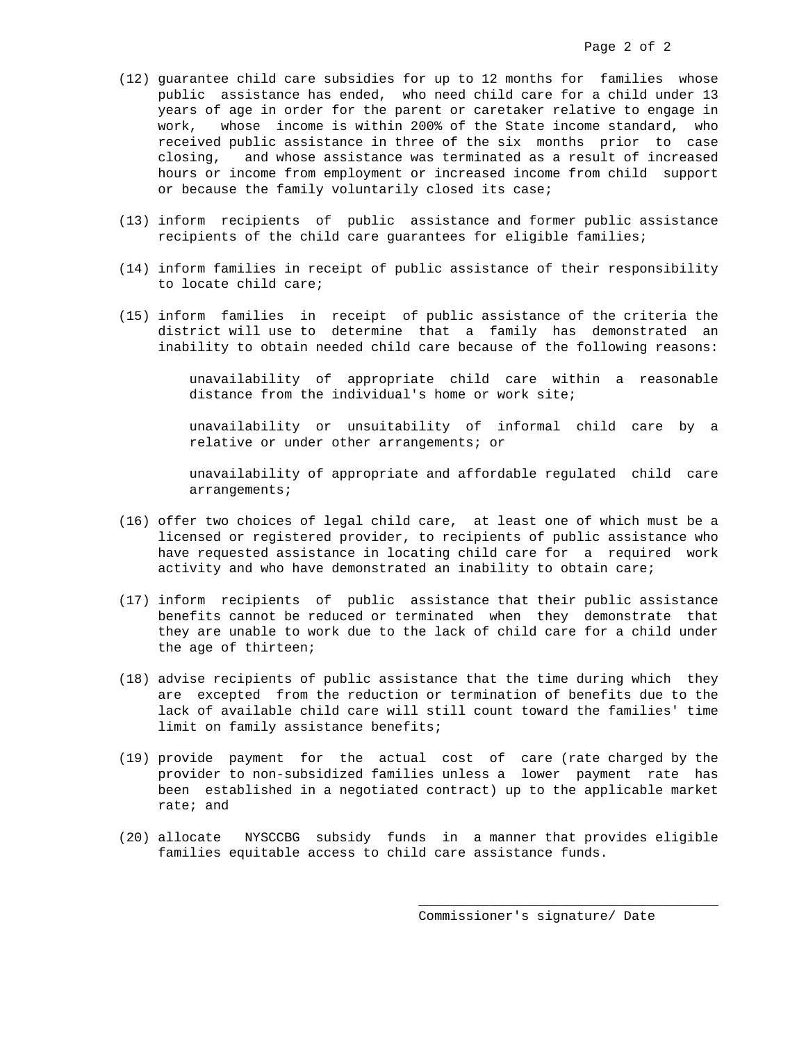- (12) guarantee child care subsidies for up to 12 months for families whose public assistance has ended, who need child care for a child under 13 years of age in order for the parent or caretaker relative to engage in work, whose income is within 200% of the State income standard, who received public assistance in three of the six months prior to case closing, and whose assistance was terminated as a result of increased hours or income from employment or increased income from child support or because the family voluntarily closed its case;
- (13) inform recipients of public assistance and former public assistance recipients of the child care guarantees for eligible families;
- (14) inform families in receipt of public assistance of their responsibility to locate child care;
- (15) inform families in receipt of public assistance of the criteria the district will use to determine that a family has demonstrated an inability to obtain needed child care because of the following reasons:

 unavailability of appropriate child care within a reasonable distance from the individual's home or work site;

 unavailability or unsuitability of informal child care by a relative or under other arrangements; or

 unavailability of appropriate and affordable regulated child care arrangements;

- (16) offer two choices of legal child care, at least one of which must be a licensed or registered provider, to recipients of public assistance who have requested assistance in locating child care for a required work activity and who have demonstrated an inability to obtain care;
- (17) inform recipients of public assistance that their public assistance benefits cannot be reduced or terminated when they demonstrate that they are unable to work due to the lack of child care for a child under the age of thirteen;
- (18) advise recipients of public assistance that the time during which they are excepted from the reduction or termination of benefits due to the lack of available child care will still count toward the families' time limit on family assistance benefits;
- (19) provide payment for the actual cost of care (rate charged by the provider to non-subsidized families unless a lower payment rate has been established in a negotiated contract) up to the applicable market rate; and
- (20) allocate NYSCCBG subsidy funds in a manner that provides eligible families equitable access to child care assistance funds.

 $\_$ 

Commissioner's signature/ Date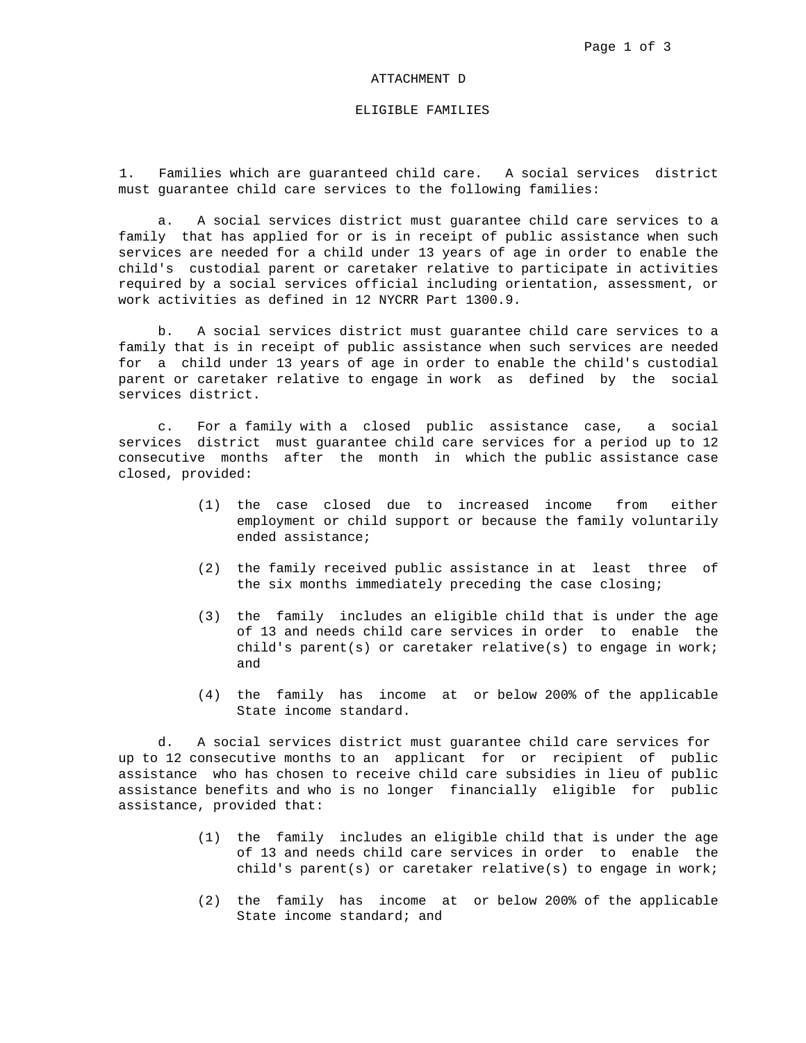#### ATTACHMENT D

### ELIGIBLE FAMILIES

1. Families which are guaranteed child care. A social services district must guarantee child care services to the following families:

 a. A social services district must guarantee child care services to a family that has applied for or is in receipt of public assistance when such services are needed for a child under 13 years of age in order to enable the child's custodial parent or caretaker relative to participate in activities required by a social services official including orientation, assessment, or work activities as defined in 12 NYCRR Part 1300.9.

 b. A social services district must guarantee child care services to a family that is in receipt of public assistance when such services are needed for a child under 13 years of age in order to enable the child's custodial parent or caretaker relative to engage in work as defined by the social services district.

 c. For a family with a closed public assistance case, a social services district must guarantee child care services for a period up to 12 consecutive months after the month in which the public assistance case closed, provided:

- (1) the case closed due to increased income from either employment or child support or because the family voluntarily ended assistance;
- (2) the family received public assistance in at least three of the six months immediately preceding the case closing;
- (3) the family includes an eligible child that is under the age of 13 and needs child care services in order to enable the child's parent(s) or caretaker relative(s) to engage in work; and
- (4) the family has income at or below 200% of the applicable State income standard.

 d. A social services district must guarantee child care services for up to 12 consecutive months to an applicant for or recipient of public assistance who has chosen to receive child care subsidies in lieu of public assistance benefits and who is no longer financially eligible for public assistance, provided that:

- (1) the family includes an eligible child that is under the age of 13 and needs child care services in order to enable the child's parent(s) or caretaker relative(s) to engage in work;
- (2) the family has income at or below 200% of the applicable State income standard; and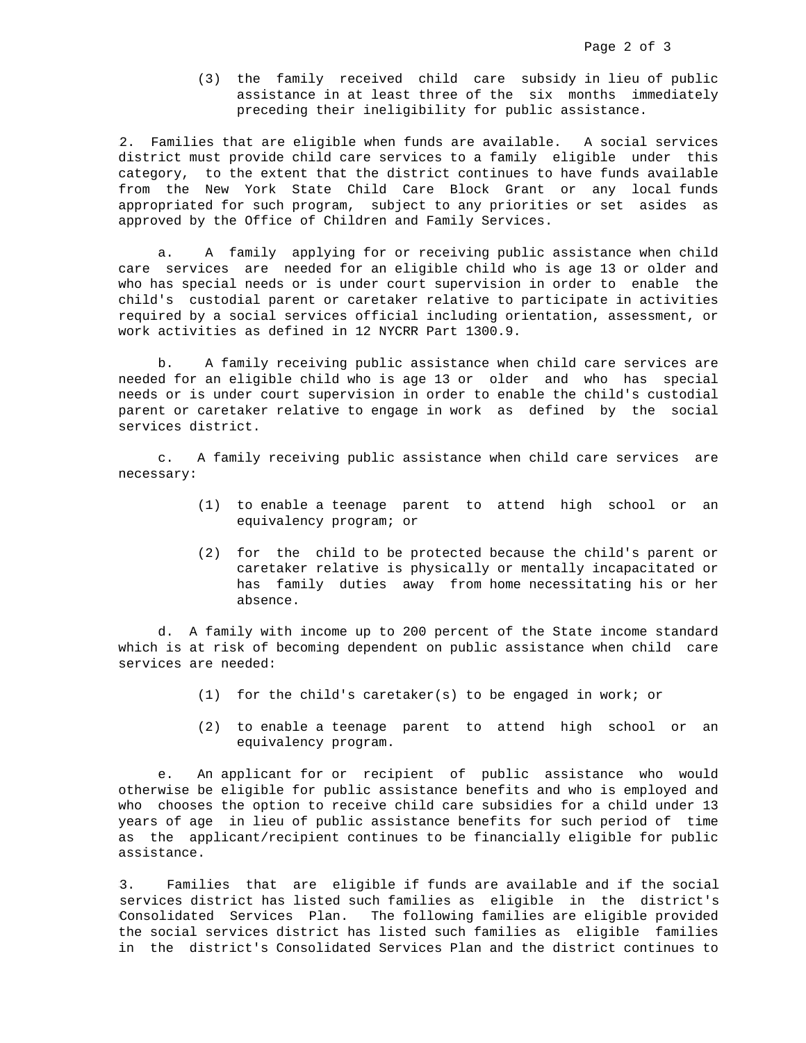(3) the family received child care subsidy in lieu of public assistance in at least three of the six months immediately preceding their ineligibility for public assistance.

2. Families that are eligible when funds are available. A social services district must provide child care services to a family eligible under this category, to the extent that the district continues to have funds available from the New York State Child Care Block Grant or any local funds appropriated for such program, subject to any priorities or set asides as approved by the Office of Children and Family Services.

 a. A family applying for or receiving public assistance when child care services are needed for an eligible child who is age 13 or older and who has special needs or is under court supervision in order to enable the child's custodial parent or caretaker relative to participate in activities required by a social services official including orientation, assessment, or work activities as defined in 12 NYCRR Part 1300.9.

 b. A family receiving public assistance when child care services are needed for an eligible child who is age 13 or older and who has special needs or is under court supervision in order to enable the child's custodial parent or caretaker relative to engage in work as defined by the social services district.

 c. A family receiving public assistance when child care services are necessary:

- (1) to enable a teenage parent to attend high school or an equivalency program; or
- (2) for the child to be protected because the child's parent or caretaker relative is physically or mentally incapacitated or has family duties away from home necessitating his or her absence.

 d. A family with income up to 200 percent of the State income standard which is at risk of becoming dependent on public assistance when child care services are needed:

- (1) for the child's caretaker(s) to be engaged in work; or
- (2) to enable a teenage parent to attend high school or an equivalency program.

 e. An applicant for or recipient of public assistance who would otherwise be eligible for public assistance benefits and who is employed and who chooses the option to receive child care subsidies for a child under 13 years of age in lieu of public assistance benefits for such period of time as the applicant/recipient continues to be financially eligible for public assistance.

3. Families that are eligible if funds are available and if the social services district has listed such families as eligible in the district's Consolidated Services Plan. The following families are eligible provided the social services district has listed such families as eligible families in the district's Consolidated Services Plan and the district continues to